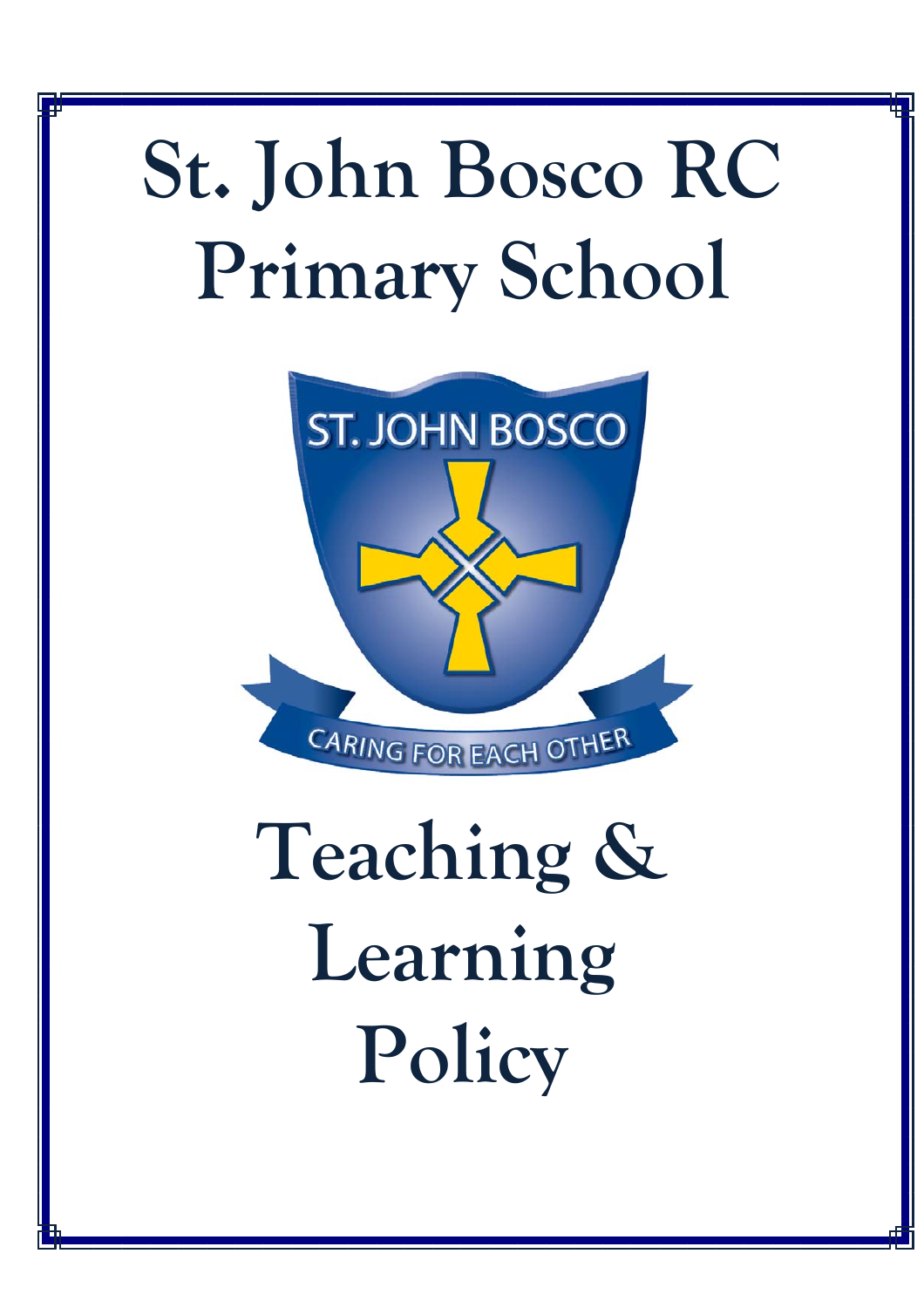# **St. John Bosco RC Primary School**



# **Teaching & Learning Policy**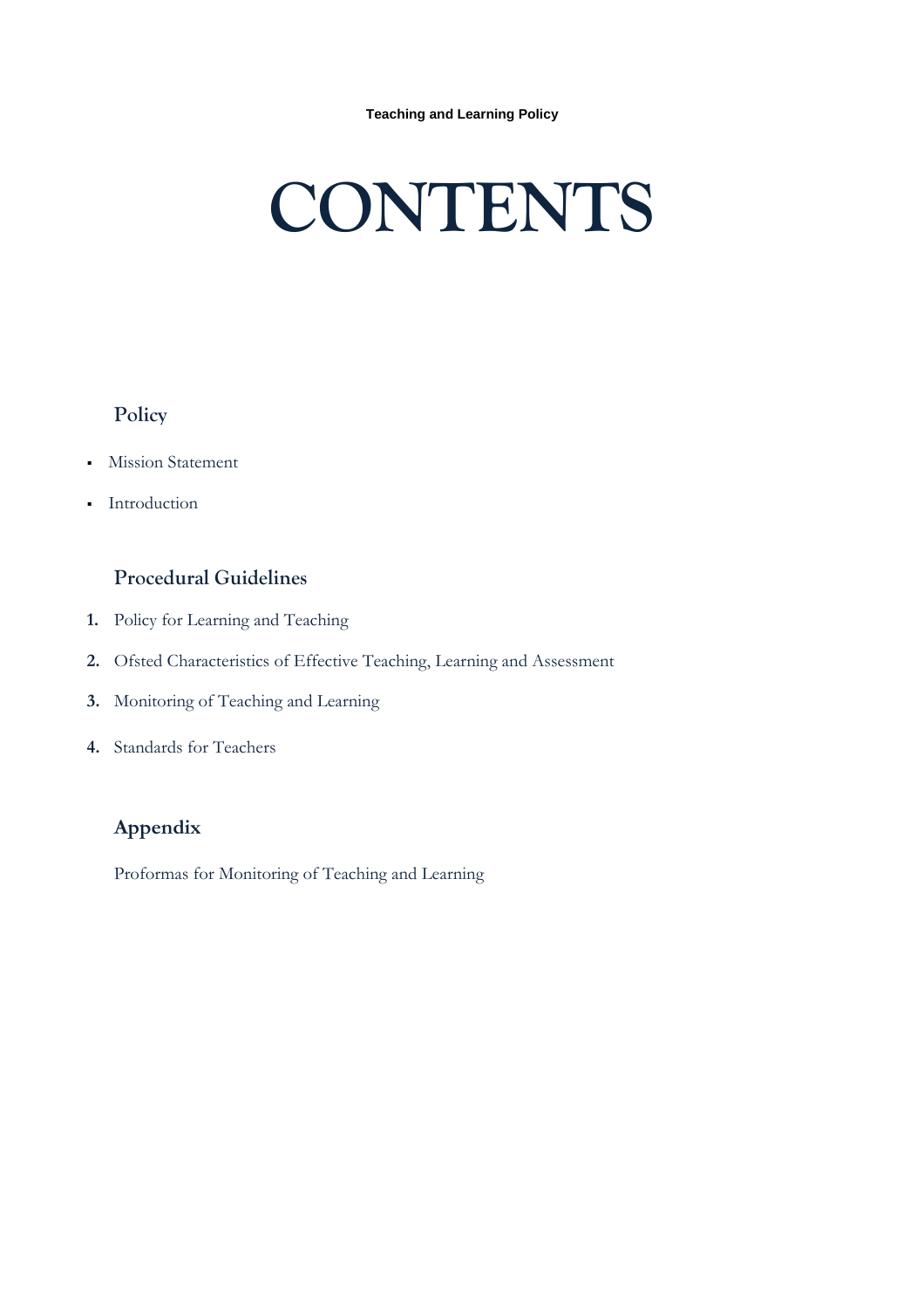# **CONTENTS**

### **Policy**

- **Mission Statement**
- **Introduction**

### **Procedural Guidelines**

- **1.** Policy for Learning and Teaching
- **2.** Ofsted Characteristics of Effective Teaching, Learning and Assessment
- **3.** Monitoring of Teaching and Learning
- **4.** Standards for Teachers

## **Appendix**

Proformas for Monitoring of Teaching and Learning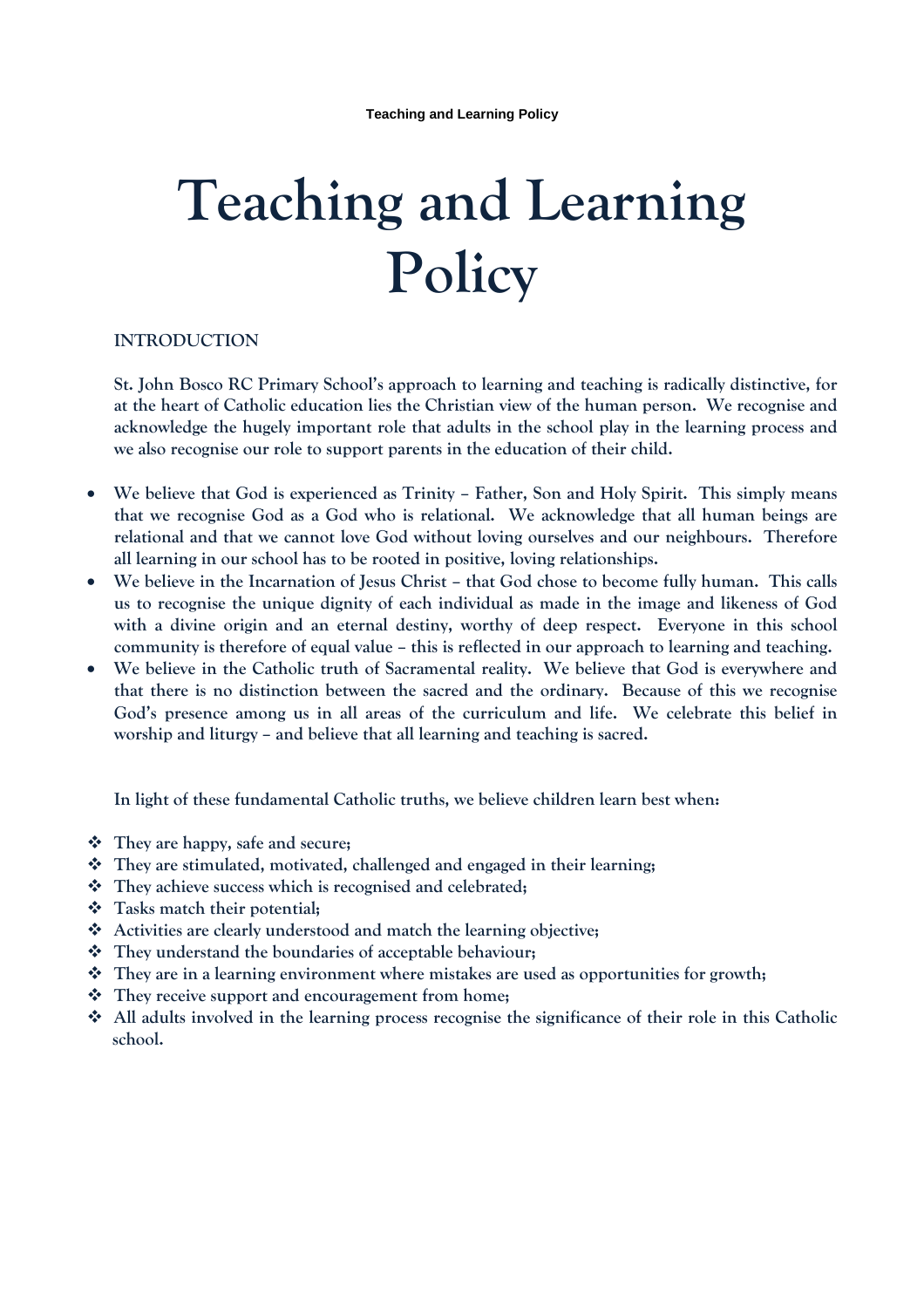#### **INTRODUCTION**

**St. John Bosco RC Primary School's approach to learning and teaching is radically distinctive, for at the heart of Catholic education lies the Christian view of the human person. We recognise and acknowledge the hugely important role that adults in the school play in the learning process and we also recognise our role to support parents in the education of their child.** 

- **We believe that God is experienced as Trinity Father, Son and Holy Spirit. This simply means that we recognise God as a God who is relational. We acknowledge that all human beings are relational and that we cannot love God without loving ourselves and our neighbours. Therefore all learning in our school has to be rooted in positive, loving relationships.**
- **We believe in the Incarnation of Jesus Christ that God chose to become fully human. This calls us to recognise the unique dignity of each individual as made in the image and likeness of God with a divine origin and an eternal destiny, worthy of deep respect. Everyone in this school community is therefore of equal value – this is reflected in our approach to learning and teaching.**
- **We believe in the Catholic truth of Sacramental reality. We believe that God is everywhere and that there is no distinction between the sacred and the ordinary. Because of this we recognise God's presence among us in all areas of the curriculum and life. We celebrate this belief in worship and liturgy – and believe that all learning and teaching is sacred.**

**In light of these fundamental Catholic truths, we believe children learn best when:** 

- **They are happy, safe and secure;**
- **They are stimulated, motivated, challenged and engaged in their learning;**
- **They achieve success which is recognised and celebrated;**
- **Tasks match their potential;**
- **Activities are clearly understood and match the learning objective;**
- **They understand the boundaries of acceptable behaviour;**
- **They are in a learning environment where mistakes are used as opportunities for growth;**
- **They receive support and encouragement from home;**
- **All adults involved in the learning process recognise the significance of their role in this Catholic school.**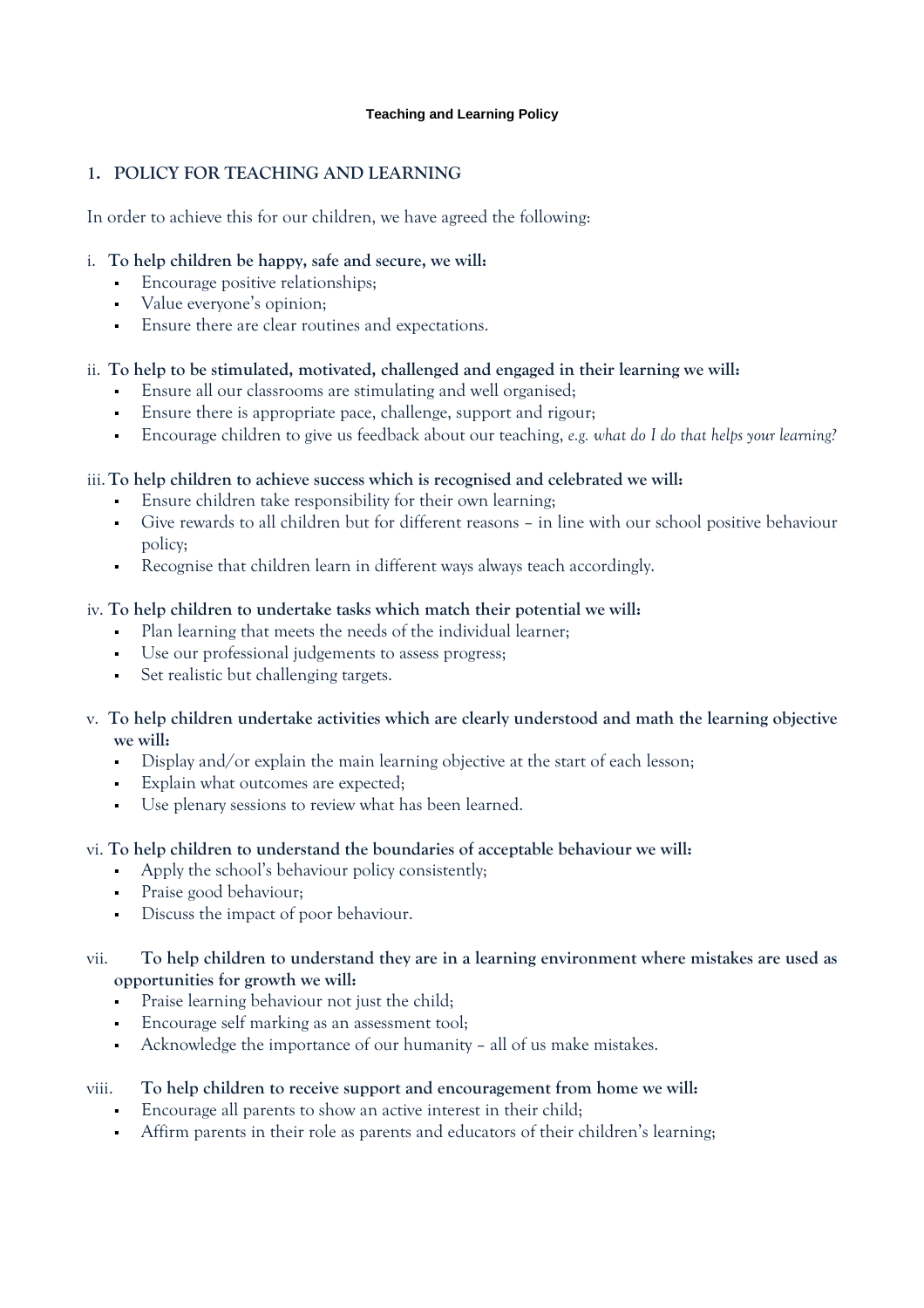#### **1. POLICY FOR TEACHING AND LEARNING**

In order to achieve this for our children, we have agreed the following:

#### i. **To help children be happy, safe and secure, we will:**

- Encourage positive relationships;
- Value everyone's opinion;
- Ensure there are clear routines and expectations.

#### ii. **To help to be stimulated, motivated, challenged and engaged in their learning we will:**

- Ensure all our classrooms are stimulating and well organised;
- Ensure there is appropriate pace, challenge, support and rigour;
- Encourage children to give us feedback about our teaching, *e.g. what do I do that helps your learning?*

#### iii.**To help children to achieve success which is recognised and celebrated we will:**

- Ensure children take responsibility for their own learning;
- Give rewards to all children but for different reasons in line with our school positive behaviour policy;
- Recognise that children learn in different ways always teach accordingly.

#### iv. **To help children to undertake tasks which match their potential we will:**

- Plan learning that meets the needs of the individual learner;
- Use our professional judgements to assess progress;
- Set realistic but challenging targets.
- v. **To help children undertake activities which are clearly understood and math the learning objective we will:**
	- Display and/or explain the main learning objective at the start of each lesson;
	- Explain what outcomes are expected;
	- Use plenary sessions to review what has been learned.

#### vi. **To help children to understand the boundaries of acceptable behaviour we will:**

- Apply the school's behaviour policy consistently;
- Praise good behaviour;
- Discuss the impact of poor behaviour.

#### vii. **To help children to understand they are in a learning environment where mistakes are used as opportunities for growth we will:**

- Praise learning behaviour not just the child;
- Encourage self marking as an assessment tool;
- Acknowledge the importance of our humanity all of us make mistakes.

#### viii. **To help children to receive support and encouragement from home we will:**

- Encourage all parents to show an active interest in their child;
- Affirm parents in their role as parents and educators of their children's learning;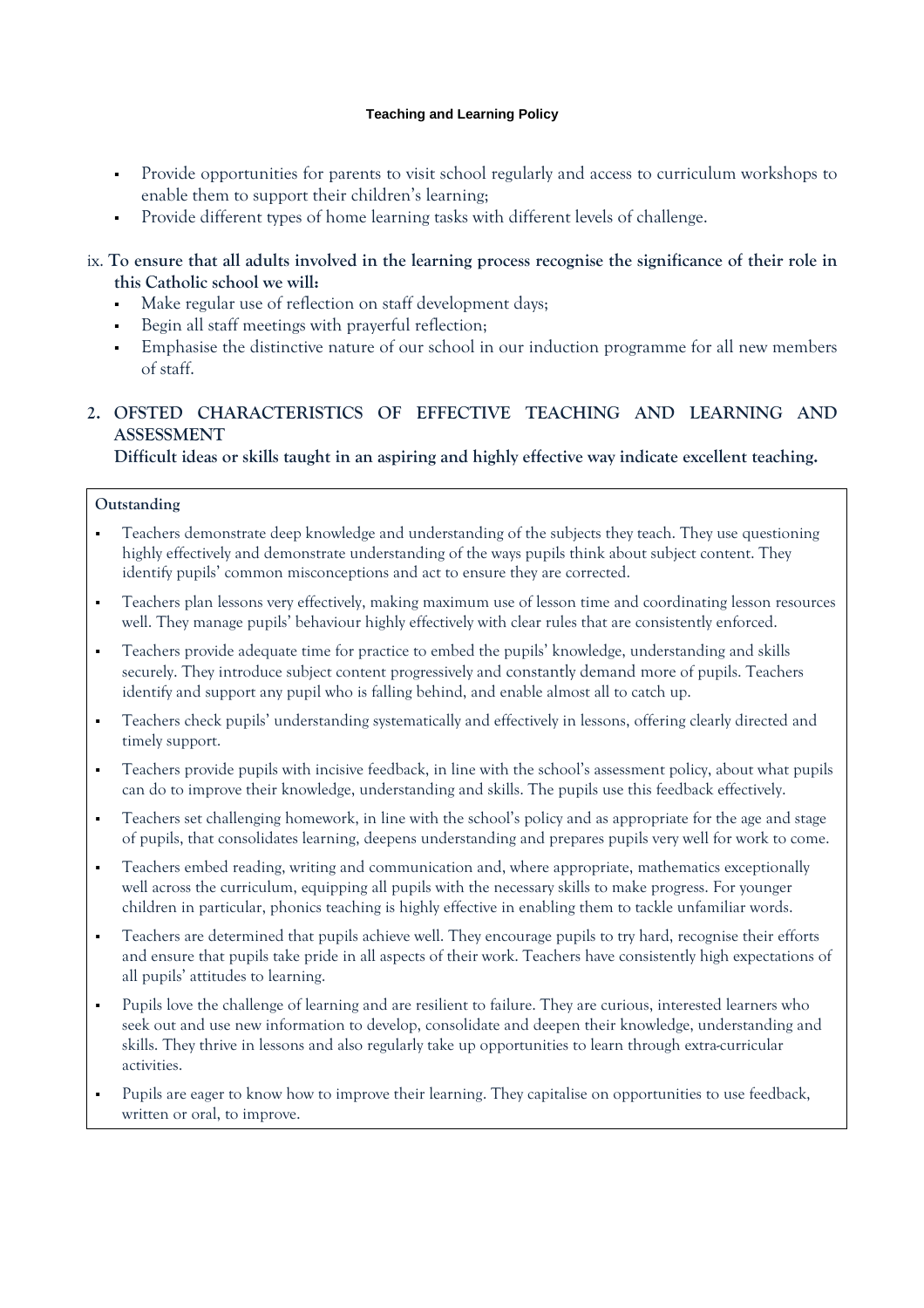- Provide opportunities for parents to visit school regularly and access to curriculum workshops to enable them to support their children's learning;
- Provide different types of home learning tasks with different levels of challenge.

#### ix. **To ensure that all adults involved in the learning process recognise the significance of their role in this Catholic school we will:**

- Make regular use of reflection on staff development days;
- Begin all staff meetings with prayerful reflection;
- Emphasise the distinctive nature of our school in our induction programme for all new members of staff.

#### **2. OFSTED CHARACTERISTICS OF EFFECTIVE TEACHING AND LEARNING AND ASSESSMENT**

**Difficult ideas or skills taught in an aspiring and highly effective way indicate excellent teaching.** 

#### **Outstanding**

- Teachers demonstrate deep knowledge and understanding of the subjects they teach. They use questioning highly effectively and demonstrate understanding of the ways pupils think about subject content. They identify pupils' common misconceptions and act to ensure they are corrected.
- Teachers plan lessons very effectively, making maximum use of lesson time and coordinating lesson resources well. They manage pupils' behaviour highly effectively with clear rules that are consistently enforced.
- Teachers provide adequate time for practice to embed the pupils' knowledge, understanding and skills securely. They introduce subject content progressively and constantly demand more of pupils. Teachers identify and support any pupil who is falling behind, and enable almost all to catch up.
- Teachers check pupils' understanding systematically and effectively in lessons, offering clearly directed and timely support.
- Teachers provide pupils with incisive feedback, in line with the school's assessment policy, about what pupils can do to improve their knowledge, understanding and skills. The pupils use this feedback effectively.
- Teachers set challenging homework, in line with the school's policy and as appropriate for the age and stage of pupils, that consolidates learning, deepens understanding and prepares pupils very well for work to come.
- Teachers embed reading, writing and communication and, where appropriate, mathematics exceptionally well across the curriculum, equipping all pupils with the necessary skills to make progress. For younger children in particular, phonics teaching is highly effective in enabling them to tackle unfamiliar words.
- Teachers are determined that pupils achieve well. They encourage pupils to try hard, recognise their efforts and ensure that pupils take pride in all aspects of their work. Teachers have consistently high expectations of all pupils' attitudes to learning.
- Pupils love the challenge of learning and are resilient to failure. They are curious, interested learners who seek out and use new information to develop, consolidate and deepen their knowledge, understanding and skills. They thrive in lessons and also regularly take up opportunities to learn through extra-curricular activities.
- Pupils are eager to know how to improve their learning. They capitalise on opportunities to use feedback, written or oral, to improve.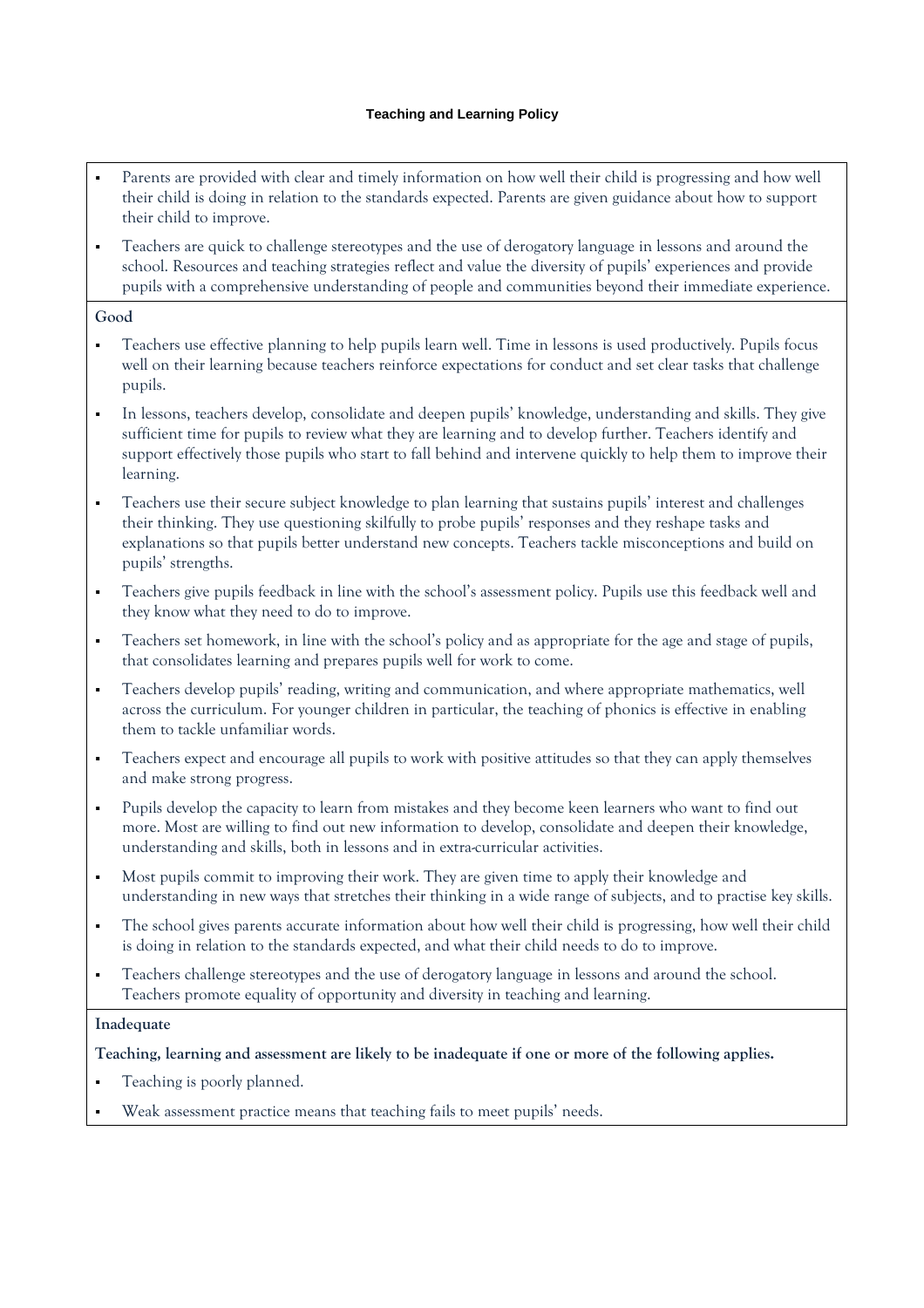- Parents are provided with clear and timely information on how well their child is progressing and how well their child is doing in relation to the standards expected. Parents are given guidance about how to support their child to improve.
- Teachers are quick to challenge stereotypes and the use of derogatory language in lessons and around the school. Resources and teaching strategies reflect and value the diversity of pupils' experiences and provide pupils with a comprehensive understanding of people and communities beyond their immediate experience.

#### **Good**

- Teachers use effective planning to help pupils learn well. Time in lessons is used productively. Pupils focus well on their learning because teachers reinforce expectations for conduct and set clear tasks that challenge pupils.
- In lessons, teachers develop, consolidate and deepen pupils' knowledge, understanding and skills. They give sufficient time for pupils to review what they are learning and to develop further. Teachers identify and support effectively those pupils who start to fall behind and intervene quickly to help them to improve their learning.
- Teachers use their secure subject knowledge to plan learning that sustains pupils' interest and challenges their thinking. They use questioning skilfully to probe pupils' responses and they reshape tasks and explanations so that pupils better understand new concepts. Teachers tackle misconceptions and build on pupils' strengths.
- Teachers give pupils feedback in line with the school's assessment policy. Pupils use this feedback well and they know what they need to do to improve.
- Teachers set homework, in line with the school's policy and as appropriate for the age and stage of pupils, that consolidates learning and prepares pupils well for work to come.
- Teachers develop pupils' reading, writing and communication, and where appropriate mathematics, well across the curriculum. For younger children in particular, the teaching of phonics is effective in enabling them to tackle unfamiliar words.
- Teachers expect and encourage all pupils to work with positive attitudes so that they can apply themselves and make strong progress.
- Pupils develop the capacity to learn from mistakes and they become keen learners who want to find out more. Most are willing to find out new information to develop, consolidate and deepen their knowledge, understanding and skills, both in lessons and in extra-curricular activities.
- Most pupils commit to improving their work. They are given time to apply their knowledge and understanding in new ways that stretches their thinking in a wide range of subjects, and to practise key skills.
- The school gives parents accurate information about how well their child is progressing, how well their child is doing in relation to the standards expected, and what their child needs to do to improve.
- Teachers challenge stereotypes and the use of derogatory language in lessons and around the school. Teachers promote equality of opportunity and diversity in teaching and learning.

#### **Inadequate**

**Teaching, learning and assessment are likely to be inadequate if one or more of the following applies.** 

- Teaching is poorly planned.
- Weak assessment practice means that teaching fails to meet pupils' needs.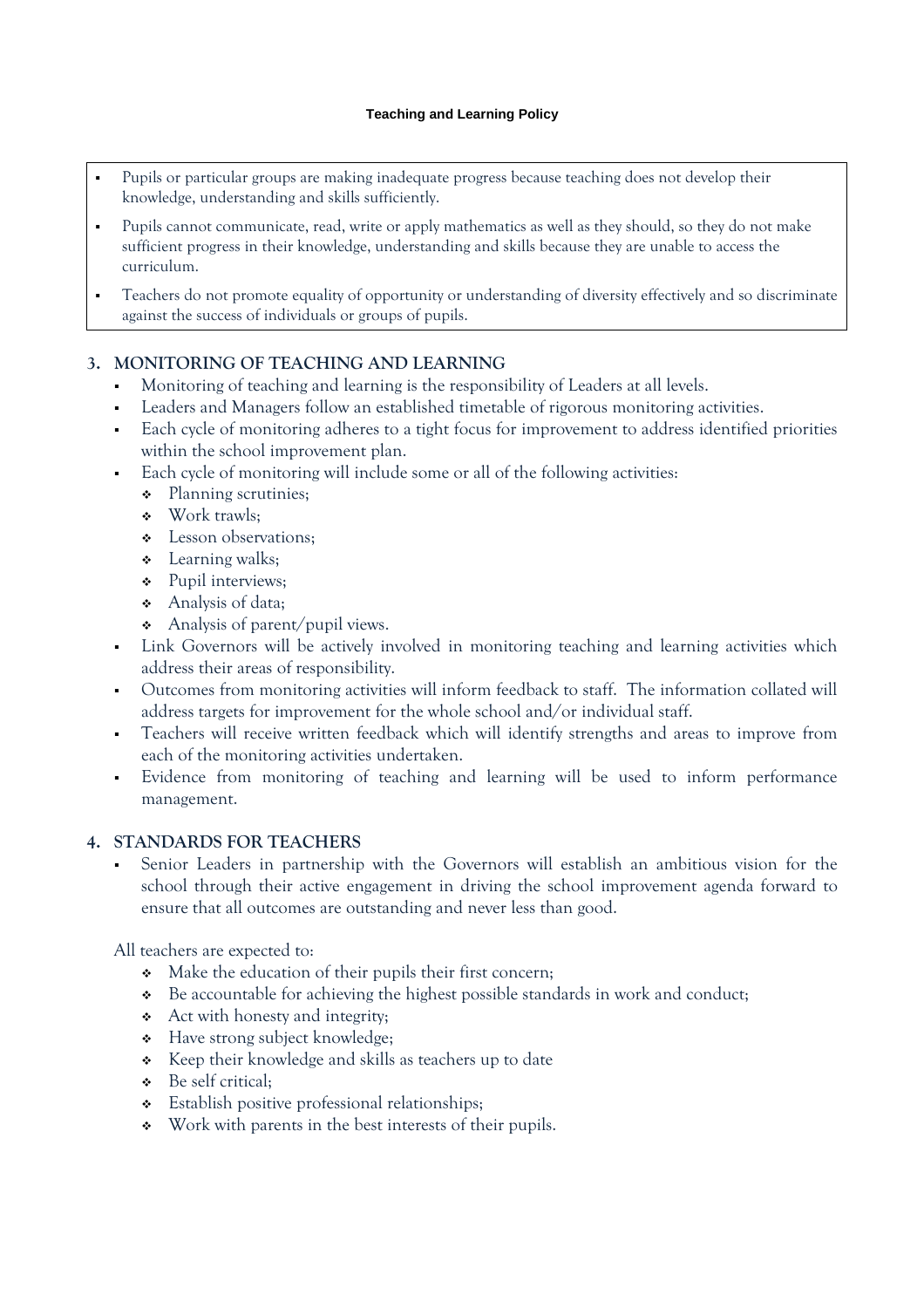- Pupils or particular groups are making inadequate progress because teaching does not develop their knowledge, understanding and skills sufficiently.
- Pupils cannot communicate, read, write or apply mathematics as well as they should, so they do not make sufficient progress in their knowledge, understanding and skills because they are unable to access the curriculum.
- Teachers do not promote equality of opportunity or understanding of diversity effectively and so discriminate against the success of individuals or groups of pupils.

#### **3. MONITORING OF TEACHING AND LEARNING**

- Monitoring of teaching and learning is the responsibility of Leaders at all levels.
- Leaders and Managers follow an established timetable of rigorous monitoring activities.
- Each cycle of monitoring adheres to a tight focus for improvement to address identified priorities within the school improvement plan.
- Each cycle of monitoring will include some or all of the following activities:
	- Planning scrutinies:
	- Work trawls;
	- **Lesson observations:**
	- **Exercise** Walks;
	- Pupil interviews;
	- Analysis of data;
	- Analysis of parent/pupil views.
- Link Governors will be actively involved in monitoring teaching and learning activities which address their areas of responsibility.
- Outcomes from monitoring activities will inform feedback to staff. The information collated will address targets for improvement for the whole school and/or individual staff.
- Teachers will receive written feedback which will identify strengths and areas to improve from each of the monitoring activities undertaken.
- Evidence from monitoring of teaching and learning will be used to inform performance management.

#### **4. STANDARDS FOR TEACHERS**

 Senior Leaders in partnership with the Governors will establish an ambitious vision for the school through their active engagement in driving the school improvement agenda forward to ensure that all outcomes are outstanding and never less than good.

All teachers are expected to:

- Make the education of their pupils their first concern;
- Be accountable for achieving the highest possible standards in work and conduct;
- Act with honesty and integrity;
- Have strong subject knowledge;
- \* Keep their knowledge and skills as teachers up to date
- Be self critical:
- Establish positive professional relationships;
- Work with parents in the best interests of their pupils.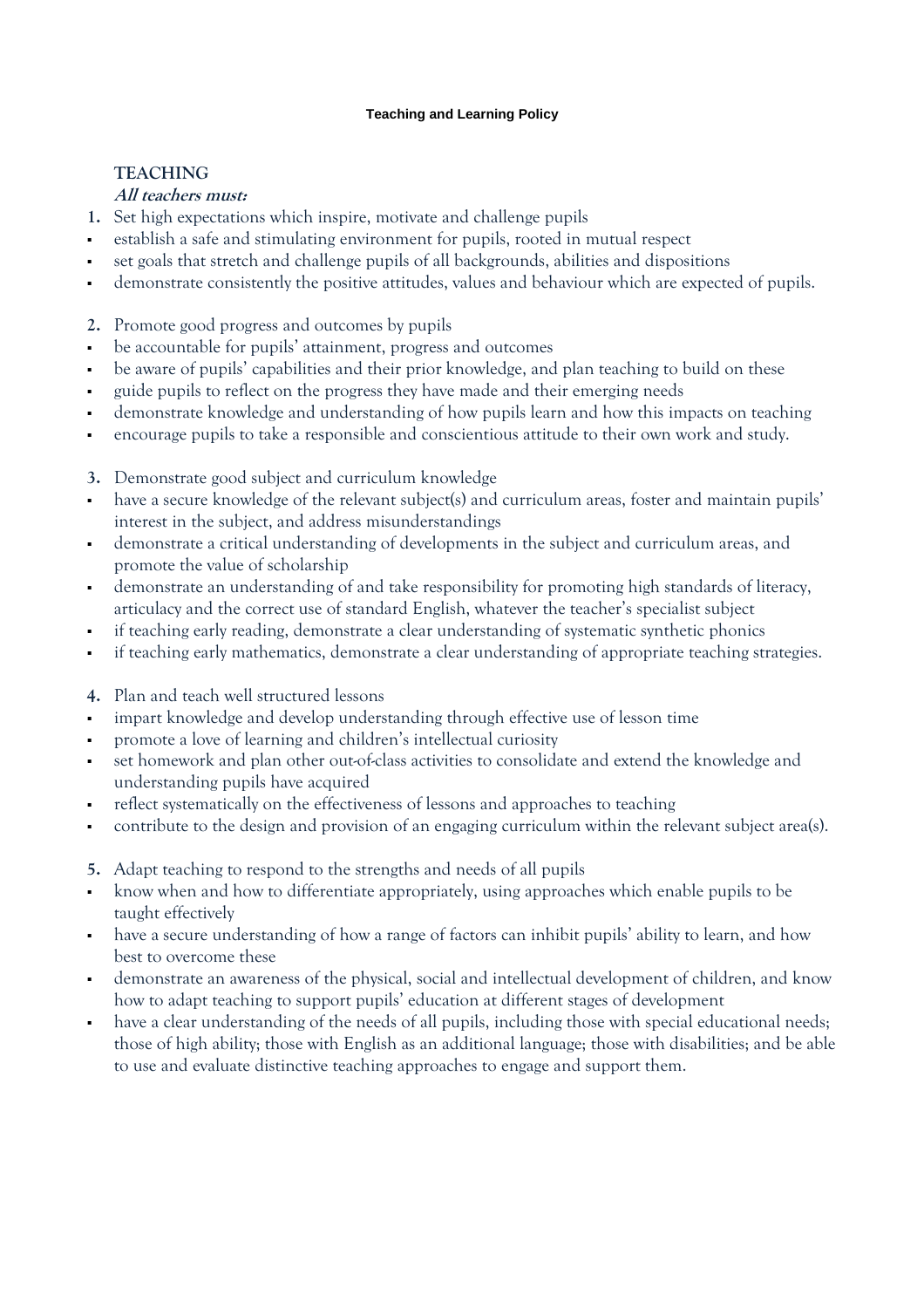#### **TEACHING**

#### **All teachers must:**

- **1.** Set high expectations which inspire, motivate and challenge pupils
- establish a safe and stimulating environment for pupils, rooted in mutual respect
- set goals that stretch and challenge pupils of all backgrounds, abilities and dispositions
- demonstrate consistently the positive attitudes, values and behaviour which are expected of pupils.
- **2.** Promote good progress and outcomes by pupils
- be accountable for pupils' attainment, progress and outcomes
- be aware of pupils' capabilities and their prior knowledge, and plan teaching to build on these
- guide pupils to reflect on the progress they have made and their emerging needs
- demonstrate knowledge and understanding of how pupils learn and how this impacts on teaching
- encourage pupils to take a responsible and conscientious attitude to their own work and study.
- **3.** Demonstrate good subject and curriculum knowledge
- have a secure knowledge of the relevant subject(s) and curriculum areas, foster and maintain pupils' interest in the subject, and address misunderstandings
- demonstrate a critical understanding of developments in the subject and curriculum areas, and promote the value of scholarship
- demonstrate an understanding of and take responsibility for promoting high standards of literacy, articulacy and the correct use of standard English, whatever the teacher's specialist subject
- if teaching early reading, demonstrate a clear understanding of systematic synthetic phonics
- if teaching early mathematics, demonstrate a clear understanding of appropriate teaching strategies.
- **4.** Plan and teach well structured lessons
- impart knowledge and develop understanding through effective use of lesson time
- promote a love of learning and children's intellectual curiosity
- set homework and plan other out-of-class activities to consolidate and extend the knowledge and understanding pupils have acquired
- reflect systematically on the effectiveness of lessons and approaches to teaching
- contribute to the design and provision of an engaging curriculum within the relevant subject area(s).
- **5.** Adapt teaching to respond to the strengths and needs of all pupils
- know when and how to differentiate appropriately, using approaches which enable pupils to be taught effectively
- have a secure understanding of how a range of factors can inhibit pupils' ability to learn, and how best to overcome these
- demonstrate an awareness of the physical, social and intellectual development of children, and know how to adapt teaching to support pupils' education at different stages of development
- have a clear understanding of the needs of all pupils, including those with special educational needs; those of high ability; those with English as an additional language; those with disabilities; and be able to use and evaluate distinctive teaching approaches to engage and support them.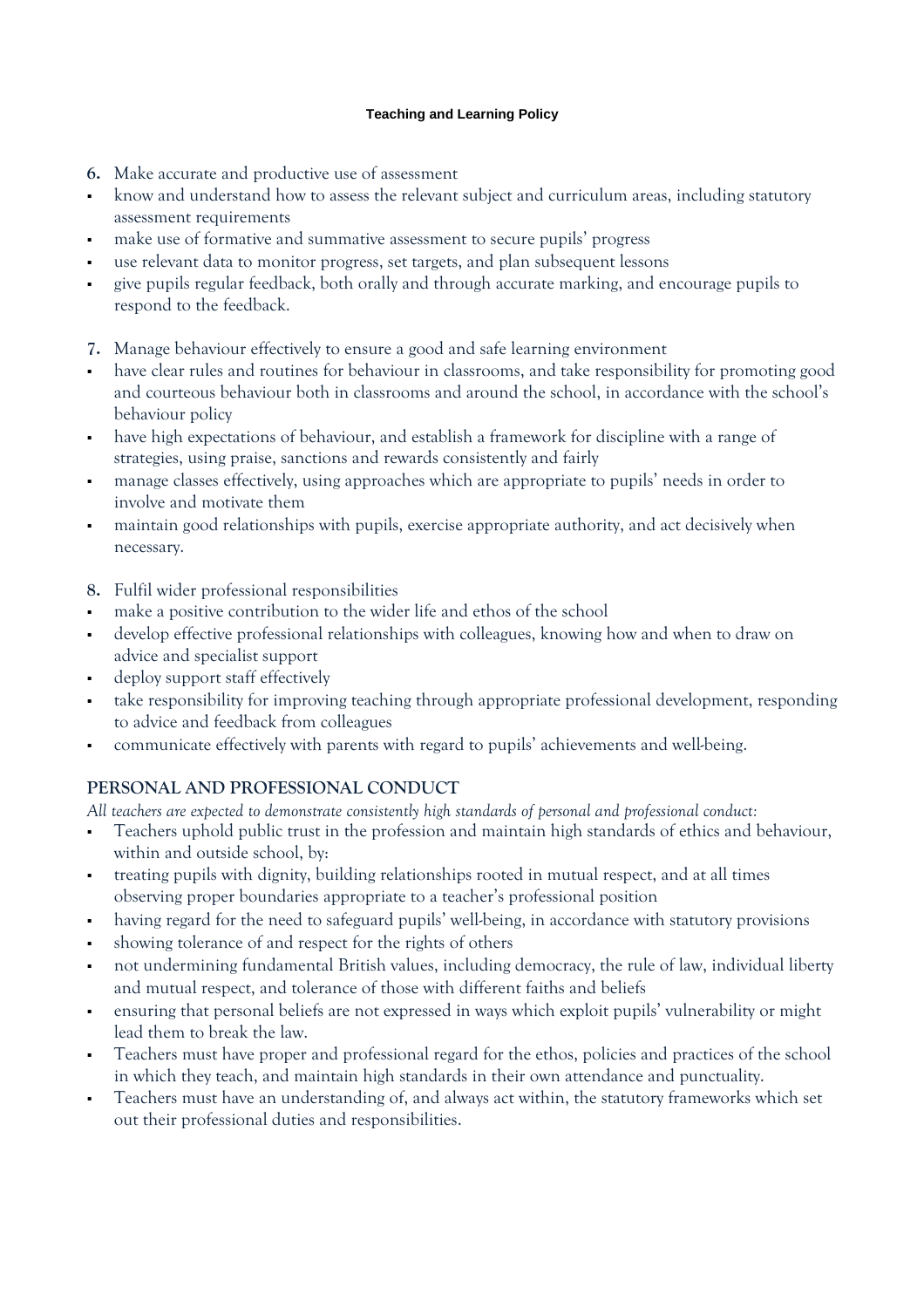- **6.** Make accurate and productive use of assessment
- know and understand how to assess the relevant subject and curriculum areas, including statutory assessment requirements
- make use of formative and summative assessment to secure pupils' progress
- use relevant data to monitor progress, set targets, and plan subsequent lessons
- give pupils regular feedback, both orally and through accurate marking, and encourage pupils to respond to the feedback.
- **7.** Manage behaviour effectively to ensure a good and safe learning environment
- have clear rules and routines for behaviour in classrooms, and take responsibility for promoting good and courteous behaviour both in classrooms and around the school, in accordance with the school's behaviour policy
- have high expectations of behaviour, and establish a framework for discipline with a range of strategies, using praise, sanctions and rewards consistently and fairly
- manage classes effectively, using approaches which are appropriate to pupils' needs in order to involve and motivate them
- maintain good relationships with pupils, exercise appropriate authority, and act decisively when necessary.
- **8.** Fulfil wider professional responsibilities
- make a positive contribution to the wider life and ethos of the school
- develop effective professional relationships with colleagues, knowing how and when to draw on advice and specialist support
- deploy support staff effectively
- take responsibility for improving teaching through appropriate professional development, responding to advice and feedback from colleagues
- communicate effectively with parents with regard to pupils' achievements and well-being.

#### **PERSONAL AND PROFESSIONAL CONDUCT**

*All teachers are expected to demonstrate consistently high standards of personal and professional conduct:* 

- Teachers uphold public trust in the profession and maintain high standards of ethics and behaviour, within and outside school, by:
- treating pupils with dignity, building relationships rooted in mutual respect, and at all times observing proper boundaries appropriate to a teacher's professional position
- having regard for the need to safeguard pupils' well-being, in accordance with statutory provisions
- showing tolerance of and respect for the rights of others
- not undermining fundamental British values, including democracy, the rule of law, individual liberty and mutual respect, and tolerance of those with different faiths and beliefs
- ensuring that personal beliefs are not expressed in ways which exploit pupils' vulnerability or might lead them to break the law.
- Teachers must have proper and professional regard for the ethos, policies and practices of the school in which they teach, and maintain high standards in their own attendance and punctuality.
- Teachers must have an understanding of, and always act within, the statutory frameworks which set out their professional duties and responsibilities.